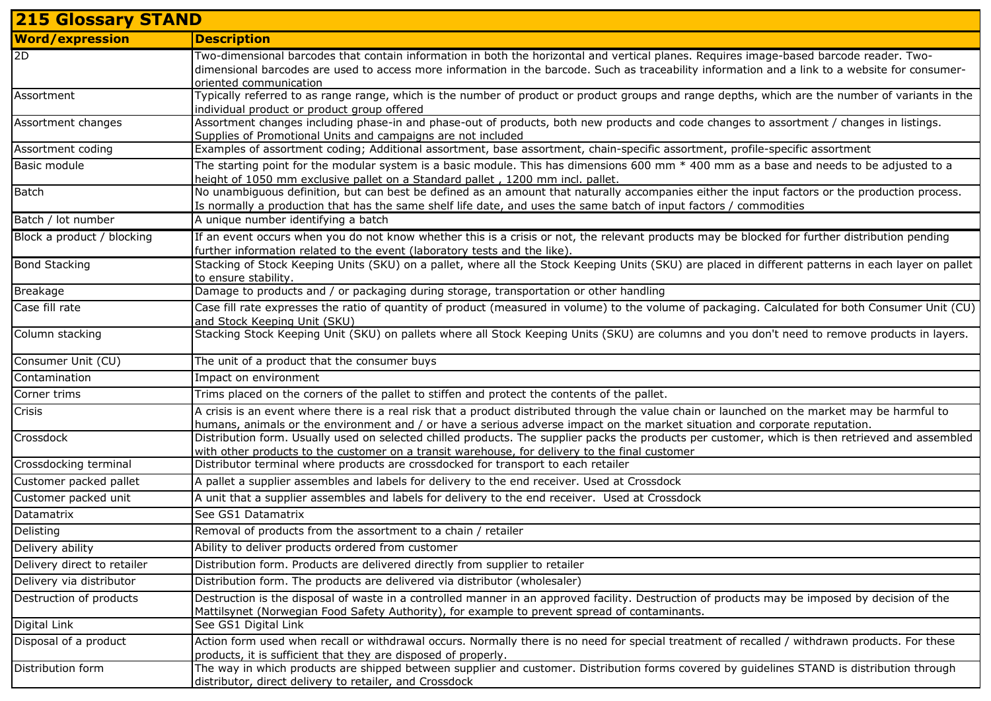| <b>215 Glossary STAND</b>   |                                                                                                                                                                                                                                                                                                                      |  |
|-----------------------------|----------------------------------------------------------------------------------------------------------------------------------------------------------------------------------------------------------------------------------------------------------------------------------------------------------------------|--|
| <b>Word/expression</b>      | <b>Description</b>                                                                                                                                                                                                                                                                                                   |  |
| 2D                          | Two-dimensional barcodes that contain information in both the horizontal and vertical planes. Requires image-based barcode reader. Two-<br>dimensional barcodes are used to access more information in the barcode. Such as traceability information and a link to a website for consumer-<br>oriented communication |  |
| Assortment                  | Typically referred to as range range, which is the number of product or product groups and range depths, which are the number of variants in the<br>individual product or product group offered                                                                                                                      |  |
| Assortment changes          | Assortment changes including phase-in and phase-out of products, both new products and code changes to assortment / changes in listings.<br>Supplies of Promotional Units and campaigns are not included                                                                                                             |  |
| Assortment coding           | Examples of assortment coding; Additional assortment, base assortment, chain-specific assortment, profile-specific assortment                                                                                                                                                                                        |  |
| Basic module                | The starting point for the modular system is a basic module. This has dimensions 600 mm $*$ 400 mm as a base and needs to be adjusted to a<br>height of 1050 mm exclusive pallet on a Standard pallet, 1200 mm incl. pallet.                                                                                         |  |
| <b>Batch</b>                | No unambiguous definition, but can best be defined as an amount that naturally accompanies either the input factors or the production process.<br>Is normally a production that has the same shelf life date, and uses the same batch of input factors / commodities                                                 |  |
| Batch / lot number          | A unique number identifying a batch                                                                                                                                                                                                                                                                                  |  |
| Block a product / blocking  | If an event occurs when you do not know whether this is a crisis or not, the relevant products may be blocked for further distribution pending<br>further information related to the event (laboratory tests and the like).                                                                                          |  |
| <b>Bond Stacking</b>        | Stacking of Stock Keeping Units (SKU) on a pallet, where all the Stock Keeping Units (SKU) are placed in different patterns in each layer on pallet<br>to ensure stability.                                                                                                                                          |  |
| Breakage                    | Damage to products and / or packaging during storage, transportation or other handling                                                                                                                                                                                                                               |  |
| Case fill rate              | Case fill rate expresses the ratio of quantity of product (measured in volume) to the volume of packaging. Calculated for both Consumer Unit (CU)<br>and Stock Keeping Unit (SKU)                                                                                                                                    |  |
| Column stacking             | Stacking Stock Keeping Unit (SKU) on pallets where all Stock Keeping Units (SKU) are columns and you don't need to remove products in layers.                                                                                                                                                                        |  |
| Consumer Unit (CU)          | The unit of a product that the consumer buys                                                                                                                                                                                                                                                                         |  |
| Contamination               | Impact on environment                                                                                                                                                                                                                                                                                                |  |
| Corner trims                | Trims placed on the corners of the pallet to stiffen and protect the contents of the pallet.                                                                                                                                                                                                                         |  |
| Crisis                      | A crisis is an event where there is a real risk that a product distributed through the value chain or launched on the market may be harmful to<br>humans, animals or the environment and / or have a serious adverse impact on the market situation and corporate reputation.                                        |  |
| Crossdock                   | Distribution form. Usually used on selected chilled products. The supplier packs the products per customer, which is then retrieved and assembled<br>with other products to the customer on a transit warehouse, for delivery to the final customer                                                                  |  |
| Crossdocking terminal       | Distributor terminal where products are crossdocked for transport to each retailer                                                                                                                                                                                                                                   |  |
| Customer packed pallet      | A pallet a supplier assembles and labels for delivery to the end receiver. Used at Crossdock                                                                                                                                                                                                                         |  |
| Customer packed unit        | A unit that a supplier assembles and labels for delivery to the end receiver. Used at Crossdock                                                                                                                                                                                                                      |  |
| Datamatrix                  | See GS1 Datamatrix                                                                                                                                                                                                                                                                                                   |  |
| Delisting                   | Removal of products from the assortment to a chain / retailer                                                                                                                                                                                                                                                        |  |
| Delivery ability            | Ability to deliver products ordered from customer                                                                                                                                                                                                                                                                    |  |
| Delivery direct to retailer | Distribution form. Products are delivered directly from supplier to retailer                                                                                                                                                                                                                                         |  |
| Delivery via distributor    | Distribution form. The products are delivered via distributor (wholesaler)                                                                                                                                                                                                                                           |  |
| Destruction of products     | Destruction is the disposal of waste in a controlled manner in an approved facility. Destruction of products may be imposed by decision of the<br>Mattilsynet (Norwegian Food Safety Authority), for example to prevent spread of contaminants.                                                                      |  |
| Digital Link                | See GS1 Digital Link                                                                                                                                                                                                                                                                                                 |  |
| Disposal of a product       | Action form used when recall or withdrawal occurs. Normally there is no need for special treatment of recalled / withdrawn products. For these<br>products, it is sufficient that they are disposed of properly.                                                                                                     |  |
| Distribution form           | The way in which products are shipped between supplier and customer. Distribution forms covered by guidelines STAND is distribution through<br>distributor, direct delivery to retailer, and Crossdock                                                                                                               |  |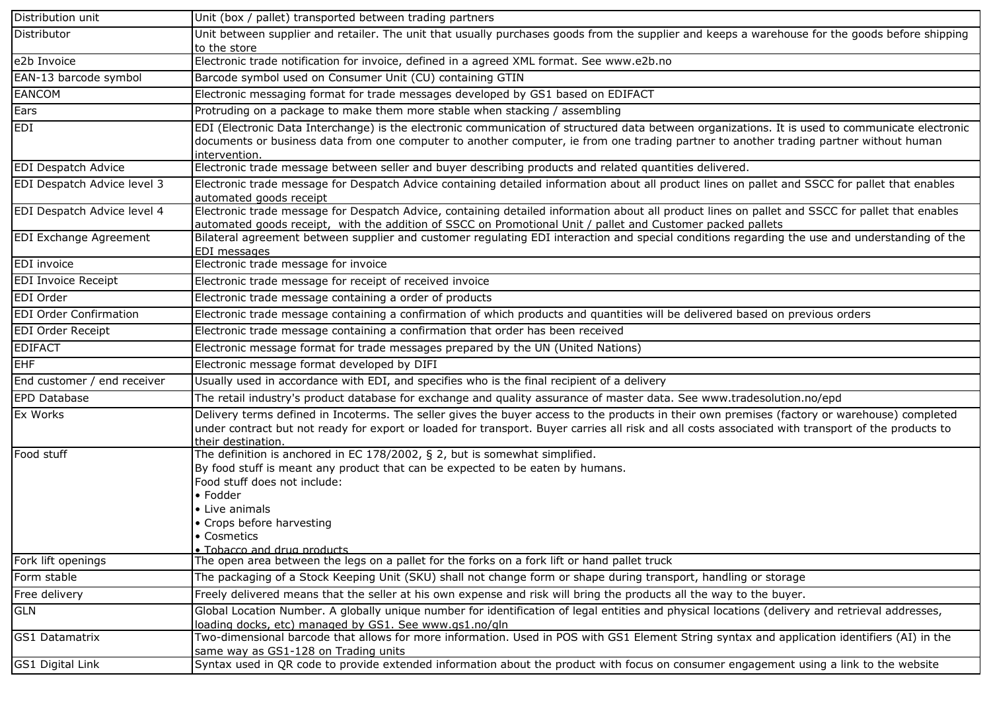| Distribution unit             | Unit (box / pallet) transported between trading partners                                                                                                                                                                                                                                                                  |
|-------------------------------|---------------------------------------------------------------------------------------------------------------------------------------------------------------------------------------------------------------------------------------------------------------------------------------------------------------------------|
| Distributor                   | Unit between supplier and retailer. The unit that usually purchases goods from the supplier and keeps a warehouse for the goods before shipping<br>to the store                                                                                                                                                           |
| e2b Invoice                   | Electronic trade notification for invoice, defined in a agreed XML format. See www.e2b.no                                                                                                                                                                                                                                 |
| EAN-13 barcode symbol         | Barcode symbol used on Consumer Unit (CU) containing GTIN                                                                                                                                                                                                                                                                 |
| EANCOM                        | Electronic messaging format for trade messages developed by GS1 based on EDIFACT                                                                                                                                                                                                                                          |
| Ears                          | Protruding on a package to make them more stable when stacking / assembling                                                                                                                                                                                                                                               |
| EDI                           | EDI (Electronic Data Interchange) is the electronic communication of structured data between organizations. It is used to communicate electronic<br>documents or business data from one computer to another computer, ie from one trading partner to another trading partner without human<br>intervention.               |
| <b>EDI Despatch Advice</b>    | Electronic trade message between seller and buyer describing products and related quantities delivered.                                                                                                                                                                                                                   |
| EDI Despatch Advice level 3   | Electronic trade message for Despatch Advice containing detailed information about all product lines on pallet and SSCC for pallet that enables<br>automated goods receipt                                                                                                                                                |
| EDI Despatch Advice level 4   | Electronic trade message for Despatch Advice, containing detailed information about all product lines on pallet and SSCC for pallet that enables<br>automated goods receipt, with the addition of SSCC on Promotional Unit / pallet and Customer packed pallets                                                           |
| EDI Exchange Agreement        | Bilateral agreement between supplier and customer regulating EDI interaction and special conditions regarding the use and understanding of the<br>EDI messages                                                                                                                                                            |
| EDI invoice                   | Electronic trade message for invoice                                                                                                                                                                                                                                                                                      |
| <b>EDI Invoice Receipt</b>    | Electronic trade message for receipt of received invoice                                                                                                                                                                                                                                                                  |
| EDI Order                     | Electronic trade message containing a order of products                                                                                                                                                                                                                                                                   |
| <b>EDI Order Confirmation</b> | Electronic trade message containing a confirmation of which products and quantities will be delivered based on previous orders                                                                                                                                                                                            |
| EDI Order Receipt             | Electronic trade message containing a confirmation that order has been received                                                                                                                                                                                                                                           |
| <b>EDIFACT</b>                | Electronic message format for trade messages prepared by the UN (United Nations)                                                                                                                                                                                                                                          |
| <b>EHF</b>                    | Electronic message format developed by DIFI                                                                                                                                                                                                                                                                               |
| End customer / end receiver   | Usually used in accordance with EDI, and specifies who is the final recipient of a delivery                                                                                                                                                                                                                               |
| EPD Database                  | The retail industry's product database for exchange and quality assurance of master data. See www.tradesolution.no/epd                                                                                                                                                                                                    |
| Ex Works                      | Delivery terms defined in Incoterms. The seller gives the buyer access to the products in their own premises (factory or warehouse) completed<br>under contract but not ready for export or loaded for transport. Buyer carries all risk and all costs associated with transport of the products to<br>their destination. |
| Food stuff                    | The definition is anchored in EC 178/2002, $\S$ 2, but is somewhat simplified.<br>By food stuff is meant any product that can be expected to be eaten by humans.<br>Food stuff does not include:<br>• Fodder<br>• Live animals<br>• Crops before harvesting<br>• Cosmetics<br>• Tobacco and drug products                 |
| Fork lift openings            | The open area between the legs on a pallet for the forks on a fork lift or hand pallet truck                                                                                                                                                                                                                              |
| Form stable                   | The packaging of a Stock Keeping Unit (SKU) shall not change form or shape during transport, handling or storage                                                                                                                                                                                                          |
| Free delivery                 | Freely delivered means that the seller at his own expense and risk will bring the products all the way to the buyer.                                                                                                                                                                                                      |
| <b>GLN</b>                    | Global Location Number. A globally unique number for identification of legal entities and physical locations (delivery and retrieval addresses,<br>loading docks, etc) managed by GS1. See www.gs1.no/gln                                                                                                                 |
| GS1 Datamatrix                | Two-dimensional barcode that allows for more information. Used in POS with GS1 Element String syntax and application identifiers (AI) in the<br>same way as GS1-128 on Trading units                                                                                                                                      |
| <b>GS1 Digital Link</b>       | Syntax used in QR code to provide extended information about the product with focus on consumer engagement using a link to the website                                                                                                                                                                                    |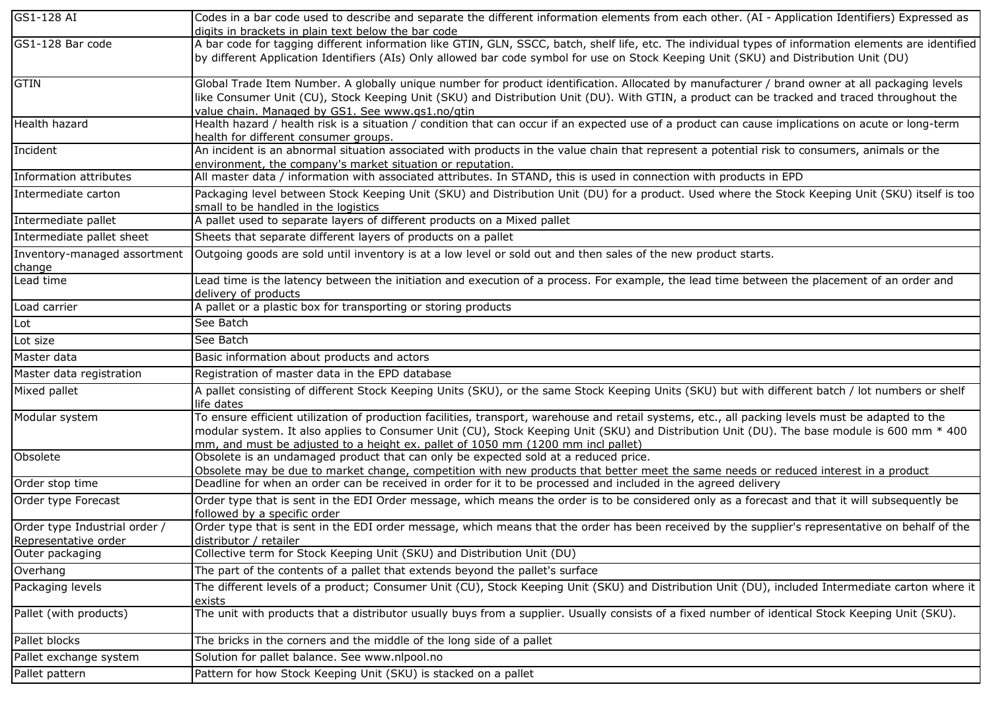| $\overline{GS1}$ -128 AI                              | Codes in a bar code used to describe and separate the different information elements from each other. (AI - Application Identifiers) Expressed as                                                                                                                                                                                                                                     |
|-------------------------------------------------------|---------------------------------------------------------------------------------------------------------------------------------------------------------------------------------------------------------------------------------------------------------------------------------------------------------------------------------------------------------------------------------------|
| GS1-128 Bar code                                      | digits in brackets in plain text below the bar code<br>A bar code for tagging different information like GTIN, GLN, SSCC, batch, shelf life, etc. The individual types of information elements are identified                                                                                                                                                                         |
|                                                       | by different Application Identifiers (AIs) Only allowed bar code symbol for use on Stock Keeping Unit (SKU) and Distribution Unit (DU)                                                                                                                                                                                                                                                |
| <b>GTIN</b>                                           | Global Trade Item Number. A globally unique number for product identification. Allocated by manufacturer / brand owner at all packaging levels<br>like Consumer Unit (CU), Stock Keeping Unit (SKU) and Distribution Unit (DU). With GTIN, a product can be tracked and traced throughout the<br>value chain. Managed by GS1. See www.gs1.no/gtin                                     |
| Health hazard                                         | Health hazard / health risk is a situation / condition that can occur if an expected use of a product can cause implications on acute or long-term<br>health for different consumer groups.                                                                                                                                                                                           |
| Incident                                              | An incident is an abnormal situation associated with products in the value chain that represent a potential risk to consumers, animals or the<br>environment, the company's market situation or reputation.                                                                                                                                                                           |
| Information attributes                                | All master data / information with associated attributes. In STAND, this is used in connection with products in EPD                                                                                                                                                                                                                                                                   |
| Intermediate carton                                   | Packaging level between Stock Keeping Unit (SKU) and Distribution Unit (DU) for a product. Used where the Stock Keeping Unit (SKU) itself is too<br>small to be handled in the logistics                                                                                                                                                                                              |
| Intermediate pallet                                   | A pallet used to separate layers of different products on a Mixed pallet                                                                                                                                                                                                                                                                                                              |
| Intermediate pallet sheet                             | Sheets that separate different layers of products on a pallet                                                                                                                                                                                                                                                                                                                         |
| Inventory-managed assortment<br>change                | Outgoing goods are sold until inventory is at a low level or sold out and then sales of the new product starts.                                                                                                                                                                                                                                                                       |
| Lead time                                             | Lead time is the latency between the initiation and execution of a process. For example, the lead time between the placement of an order and<br>delivery of products                                                                                                                                                                                                                  |
| Load carrier                                          | A pallet or a plastic box for transporting or storing products                                                                                                                                                                                                                                                                                                                        |
| Lot                                                   | See Batch                                                                                                                                                                                                                                                                                                                                                                             |
| Lot size                                              | See Batch                                                                                                                                                                                                                                                                                                                                                                             |
| Master data                                           | Basic information about products and actors                                                                                                                                                                                                                                                                                                                                           |
| Master data registration                              | Registration of master data in the EPD database                                                                                                                                                                                                                                                                                                                                       |
| Mixed pallet                                          | A pallet consisting of different Stock Keeping Units (SKU), or the same Stock Keeping Units (SKU) but with different batch / lot numbers or shelf<br>life dates                                                                                                                                                                                                                       |
| Modular system                                        | To ensure efficient utilization of production facilities, transport, warehouse and retail systems, etc., all packing levels must be adapted to the<br>modular system. It also applies to Consumer Unit (CU), Stock Keeping Unit (SKU) and Distribution Unit (DU). The base module is 600 mm * 400<br>mm, and must be adjusted to a height ex. pallet of 1050 mm (1200 mm incl pallet) |
| Obsolete                                              | Obsolete is an undamaged product that can only be expected sold at a reduced price.<br>Obsolete may be due to market change, competition with new products that better meet the same needs or reduced interest in a product                                                                                                                                                           |
| Order stop time                                       | Deadline for when an order can be received in order for it to be processed and included in the agreed delivery                                                                                                                                                                                                                                                                        |
| Order type Forecast                                   | Order type that is sent in the EDI Order message, which means the order is to be considered only as a forecast and that it will subsequently be<br>followed by a specific order                                                                                                                                                                                                       |
| Order type Industrial order /<br>Representative order | Order type that is sent in the EDI order message, which means that the order has been received by the supplier's representative on behalf of the<br>distributor / retailer                                                                                                                                                                                                            |
| Outer packaging                                       | Collective term for Stock Keeping Unit (SKU) and Distribution Unit (DU)                                                                                                                                                                                                                                                                                                               |
| Overhang                                              | The part of the contents of a pallet that extends beyond the pallet's surface                                                                                                                                                                                                                                                                                                         |
| Packaging levels                                      | The different levels of a product; Consumer Unit (CU), Stock Keeping Unit (SKU) and Distribution Unit (DU), included Intermediate carton where it<br>exists                                                                                                                                                                                                                           |
| Pallet (with products)                                | The unit with products that a distributor usually buys from a supplier. Usually consists of a fixed number of identical Stock Keeping Unit (SKU).                                                                                                                                                                                                                                     |
| Pallet blocks                                         | The bricks in the corners and the middle of the long side of a pallet                                                                                                                                                                                                                                                                                                                 |
| Pallet exchange system                                | Solution for pallet balance. See www.nlpool.no                                                                                                                                                                                                                                                                                                                                        |
| Pallet pattern                                        | Pattern for how Stock Keeping Unit (SKU) is stacked on a pallet                                                                                                                                                                                                                                                                                                                       |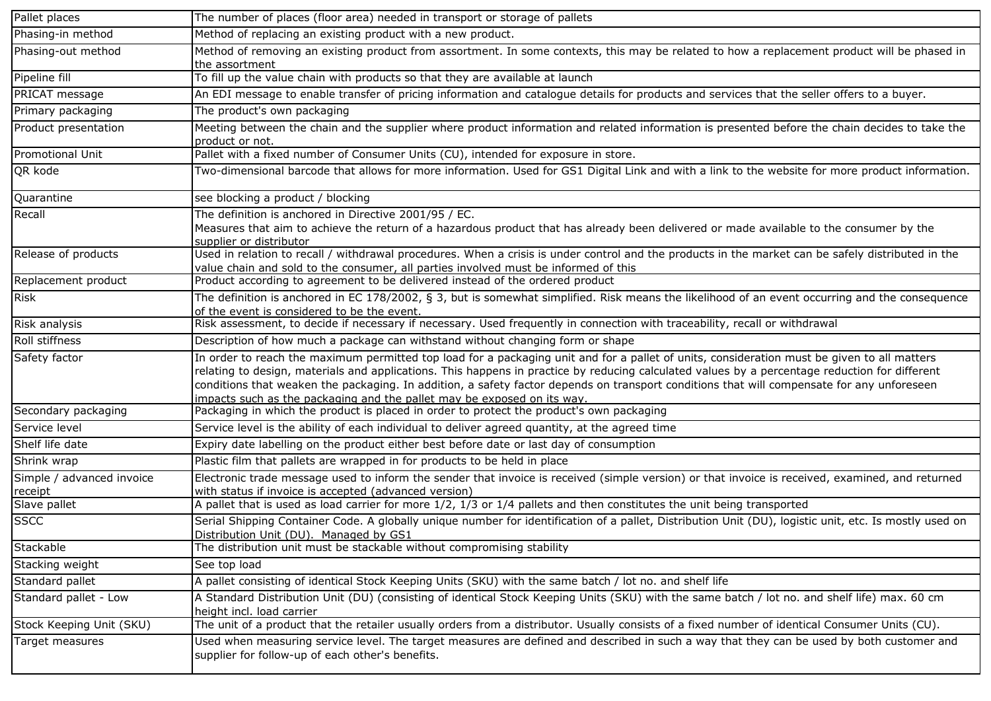| Pallet places                        | The number of places (floor area) needed in transport or storage of pallets                                                                                                                                                                                                                                                                                                                                                                                                                                            |
|--------------------------------------|------------------------------------------------------------------------------------------------------------------------------------------------------------------------------------------------------------------------------------------------------------------------------------------------------------------------------------------------------------------------------------------------------------------------------------------------------------------------------------------------------------------------|
| Phasing-in method                    | Method of replacing an existing product with a new product.                                                                                                                                                                                                                                                                                                                                                                                                                                                            |
| Phasing-out method                   | Method of removing an existing product from assortment. In some contexts, this may be related to how a replacement product will be phased in<br>the assortment                                                                                                                                                                                                                                                                                                                                                         |
| Pipeline fill                        | To fill up the value chain with products so that they are available at launch                                                                                                                                                                                                                                                                                                                                                                                                                                          |
| PRICAT message                       | An EDI message to enable transfer of pricing information and catalogue details for products and services that the seller offers to a buyer.                                                                                                                                                                                                                                                                                                                                                                            |
| Primary packaging                    | The product's own packaging                                                                                                                                                                                                                                                                                                                                                                                                                                                                                            |
| Product presentation                 | Meeting between the chain and the supplier where product information and related information is presented before the chain decides to take the<br>product or not.                                                                                                                                                                                                                                                                                                                                                      |
| <b>Promotional Unit</b>              | Pallet with a fixed number of Consumer Units (CU), intended for exposure in store.                                                                                                                                                                                                                                                                                                                                                                                                                                     |
| QR kode                              | Two-dimensional barcode that allows for more information. Used for GS1 Digital Link and with a link to the website for more product information.                                                                                                                                                                                                                                                                                                                                                                       |
| Quarantine                           | see blocking a product / blocking                                                                                                                                                                                                                                                                                                                                                                                                                                                                                      |
| Recall                               | The definition is anchored in Directive 2001/95 / EC.<br>Measures that aim to achieve the return of a hazardous product that has already been delivered or made available to the consumer by the<br>supplier or distributor                                                                                                                                                                                                                                                                                            |
| Release of products                  | Used in relation to recall / withdrawal procedures. When a crisis is under control and the products in the market can be safely distributed in the<br>value chain and sold to the consumer, all parties involved must be informed of this                                                                                                                                                                                                                                                                              |
| Replacement product                  | Product according to agreement to be delivered instead of the ordered product                                                                                                                                                                                                                                                                                                                                                                                                                                          |
| <b>Risk</b>                          | The definition is anchored in EC 178/2002, § 3, but is somewhat simplified. Risk means the likelihood of an event occurring and the consequence<br>of the event is considered to be the event.                                                                                                                                                                                                                                                                                                                         |
| Risk analysis                        | Risk assessment, to decide if necessary if necessary. Used frequently in connection with traceability, recall or withdrawal                                                                                                                                                                                                                                                                                                                                                                                            |
| Roll stiffness                       | Description of how much a package can withstand without changing form or shape                                                                                                                                                                                                                                                                                                                                                                                                                                         |
| Safety factor                        | In order to reach the maximum permitted top load for a packaging unit and for a pallet of units, consideration must be given to all matters<br>relating to design, materials and applications. This happens in practice by reducing calculated values by a percentage reduction for different<br>conditions that weaken the packaging. In addition, a safety factor depends on transport conditions that will compensate for any unforeseen<br>impacts such as the packaging and the pallet may be exposed on its way. |
| Secondary packaging                  | Packaging in which the product is placed in order to protect the product's own packaging                                                                                                                                                                                                                                                                                                                                                                                                                               |
| Service level                        | Service level is the ability of each individual to deliver agreed quantity, at the agreed time                                                                                                                                                                                                                                                                                                                                                                                                                         |
| Shelf life date                      | Expiry date labelling on the product either best before date or last day of consumption                                                                                                                                                                                                                                                                                                                                                                                                                                |
| Shrink wrap                          | Plastic film that pallets are wrapped in for products to be held in place                                                                                                                                                                                                                                                                                                                                                                                                                                              |
| Simple / advanced invoice<br>receipt | Electronic trade message used to inform the sender that invoice is received (simple version) or that invoice is received, examined, and returned<br>with status if invoice is accepted (advanced version)                                                                                                                                                                                                                                                                                                              |
| Slave pallet                         | A pallet that is used as load carrier for more 1/2, 1/3 or 1/4 pallets and then constitutes the unit being transported                                                                                                                                                                                                                                                                                                                                                                                                 |
| SSCC                                 | Serial Shipping Container Code. A globally unique number for identification of a pallet, Distribution Unit (DU), logistic unit, etc. Is mostly used on<br>Distribution Unit (DU). Managed by GS1                                                                                                                                                                                                                                                                                                                       |
| Stackable                            | The distribution unit must be stackable without compromising stability                                                                                                                                                                                                                                                                                                                                                                                                                                                 |
| Stacking weight                      | See top load                                                                                                                                                                                                                                                                                                                                                                                                                                                                                                           |
| Standard pallet                      | A pallet consisting of identical Stock Keeping Units (SKU) with the same batch / lot no. and shelf life                                                                                                                                                                                                                                                                                                                                                                                                                |
| Standard pallet - Low                | A Standard Distribution Unit (DU) (consisting of identical Stock Keeping Units (SKU) with the same batch / lot no. and shelf life) max. 60 cm<br>height incl. load carrier                                                                                                                                                                                                                                                                                                                                             |
| Stock Keeping Unit (SKU)             | The unit of a product that the retailer usually orders from a distributor. Usually consists of a fixed number of identical Consumer Units (CU).                                                                                                                                                                                                                                                                                                                                                                        |
| Target measures                      | Used when measuring service level. The target measures are defined and described in such a way that they can be used by both customer and<br>supplier for follow-up of each other's benefits.                                                                                                                                                                                                                                                                                                                          |